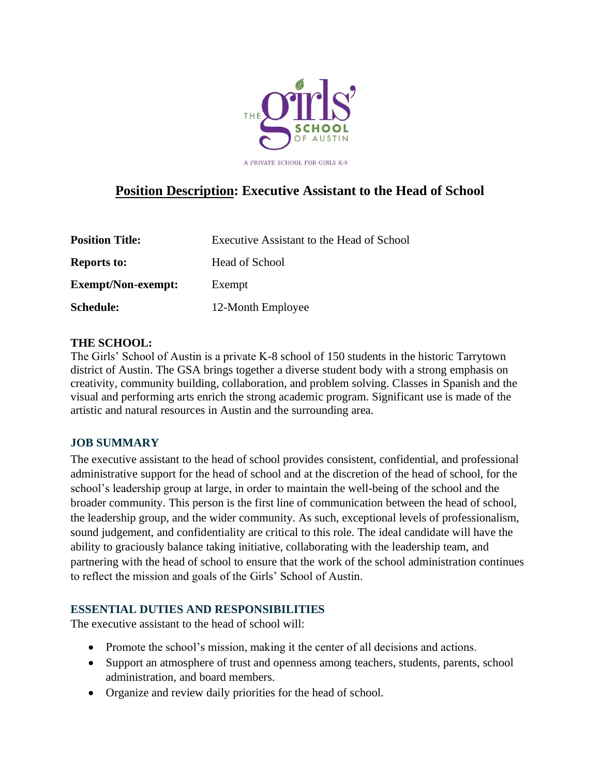

# **Position Description: Executive Assistant to the Head of School**

| <b>Position Title:</b>    | Executive Assistant to the Head of School |
|---------------------------|-------------------------------------------|
| <b>Reports to:</b>        | Head of School                            |
| <b>Exempt/Non-exempt:</b> | Exempt                                    |
| <b>Schedule:</b>          | 12-Month Employee                         |

#### **THE SCHOOL:**

The Girls' School of Austin is a private K-8 school of 150 students in the historic Tarrytown district of Austin. The GSA brings together a diverse student body with a strong emphasis on creativity, community building, collaboration, and problem solving. Classes in Spanish and the visual and performing arts enrich the strong academic program. Significant use is made of the artistic and natural resources in Austin and the surrounding area.

#### **JOB SUMMARY**

The executive assistant to the head of school provides consistent, confidential, and professional administrative support for the head of school and at the discretion of the head of school, for the school's leadership group at large, in order to maintain the well-being of the school and the broader community. This person is the first line of communication between the head of school, the leadership group, and the wider community. As such, exceptional levels of professionalism, sound judgement, and confidentiality are critical to this role. The ideal candidate will have the ability to graciously balance taking initiative, collaborating with the leadership team, and partnering with the head of school to ensure that the work of the school administration continues to reflect the mission and goals of the Girls' School of Austin.

#### **ESSENTIAL DUTIES AND RESPONSIBILITIES**

The executive assistant to the head of school will:

- Promote the school's mission, making it the center of all decisions and actions.
- Support an atmosphere of trust and openness among teachers, students, parents, school administration, and board members.
- Organize and review daily priorities for the head of school.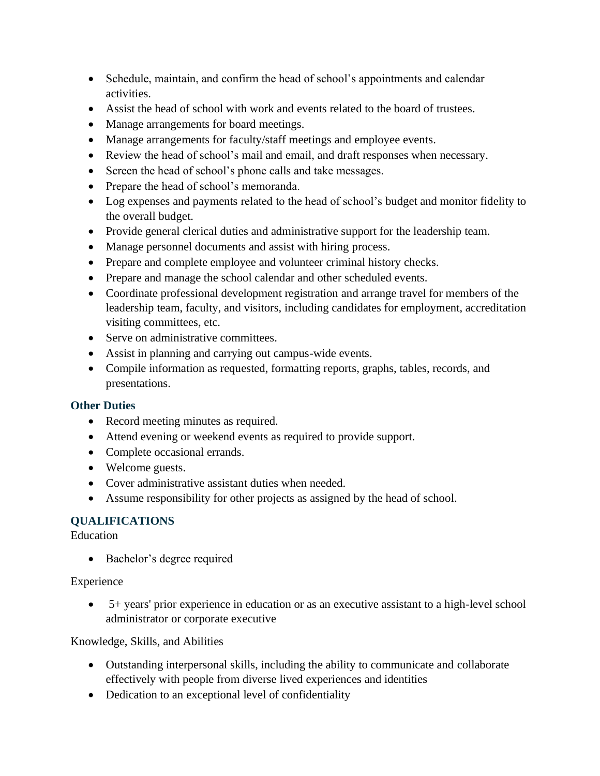- Schedule, maintain, and confirm the head of school's appointments and calendar activities.
- Assist the head of school with work and events related to the board of trustees.
- Manage arrangements for board meetings.
- Manage arrangements for faculty/staff meetings and employee events.
- Review the head of school's mail and email, and draft responses when necessary.
- Screen the head of school's phone calls and take messages.
- Prepare the head of school's memoranda.
- Log expenses and payments related to the head of school's budget and monitor fidelity to the overall budget.
- Provide general clerical duties and administrative support for the leadership team.
- Manage personnel documents and assist with hiring process.
- Prepare and complete employee and volunteer criminal history checks.
- Prepare and manage the school calendar and other scheduled events.
- Coordinate professional development registration and arrange travel for members of the leadership team, faculty, and visitors, including candidates for employment, accreditation visiting committees, etc.
- Serve on administrative committees.
- Assist in planning and carrying out campus-wide events.
- Compile information as requested, formatting reports, graphs, tables, records, and presentations.

#### **Other Duties**

- Record meeting minutes as required.
- Attend evening or weekend events as required to provide support.
- Complete occasional errands.
- Welcome guests.
- Cover administrative assistant duties when needed.
- Assume responsibility for other projects as assigned by the head of school.

## **QUALIFICATIONS**

#### Education

• Bachelor's degree required

#### Experience

• 5+ years' prior experience in education or as an executive assistant to a high-level school administrator or corporate executive

Knowledge, Skills, and Abilities

- Outstanding interpersonal skills, including the ability to communicate and collaborate effectively with people from diverse lived experiences and identities
- Dedication to an exceptional level of confidentiality